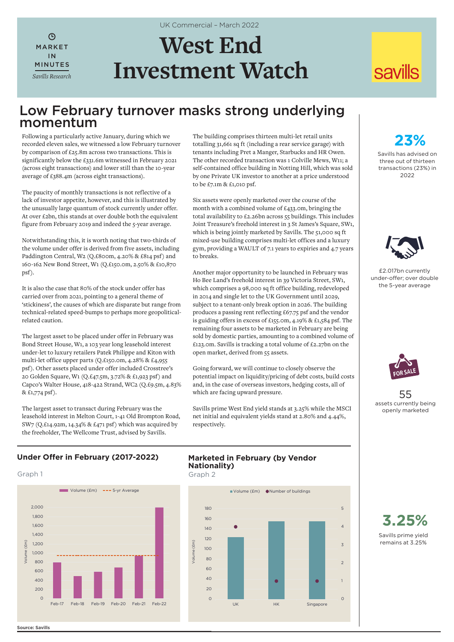$\mathcal{L}$ MARKET IN MINUTES *Savills Research* UK Commercial – March 2022

# **West End Investment Watch**

# **savills**

# Low February turnover masks strong underlying momentum

Following a particularly active January, during which we recorded eleven sales, we witnessed a low February turnover by comparison of £25.8m across two transactions. This is significantly below the £331.6m witnessed in February 2021 (across eight transactions) and lower still than the 10-year average of £388.4m (across eight transactions).

The paucity of monthly transactions is not reflective of a lack of investor appetite, however, and this is illustrated by the unusually large quantum of stock currently under offer. At over £2bn, this stands at over double both the equivalent figure from February 2019 and indeed the 5-year average.

Notwithstanding this, it is worth noting that two-thirds of the volume under offer is derived from five assets, including Paddington Central, W2 (Q.£800m, 4.20% & £814 psf) and 160-162 New Bond Street, W1 (Q.£150.0m, 2.50% & £10,870 psf).

It is also the case that 80% of the stock under offer has carried over from 2021, pointing to a general theme of 'stickiness', the causes of which are disparate but range from technical-related speed-bumps to perhaps more geopoliticalrelated caution.

The largest asset to be placed under offer in February was Bond Street House, W1, a 103 year long leasehold interest under-let to luxury retailers Patek Philippe and Kiton with multi-let office upper parts (Q.£150.0m, 4.28% & £4,955 psf). Other assets placed under offer included Crosstree's 20 Golden Square, W1 (Q.£47.5m, 3.72% & £1,923 psf) and Capco's Walter House, 418-422 Strand, WC2 (Q.£9.5m, 4.83% & £1,774 psf).

The largest asset to transact during February was the leasehold interest in Melton Court, 1-41 Old Brompton Road, SW7 (Q.£14.92m, 14.34% & £471 psf) which was acquired by the freeholder, The Wellcome Trust, advised by Savills.

The building comprises thirteen multi-let retail units totalling 31,661 sq ft (including a rear service garage) with tenants including Pret a Manger, Starbucks and HR Owen. The other recorded transaction was 1 Colville Mews, W11; a self-contained office building in Notting Hill, which was sold by one Private UK investor to another at a price understood to be £7.1m & £1,010 psf.

Six assets were openly marketed over the course of the month with a combined volume of £433.0m, bringing the total availability to £2.26bn across 55 buildings. This includes Joint Treasure's freehold interest in 3 St James's Square, SW1, which is being jointly marketed by Savills. The 51,000 sq ft mixed-use building comprises multi-let offices and a luxury gym, providing a WAULT of 7.1 years to expiries and 4.7 years to breaks.

Another major opportunity to be launched in February was Ho Bee Land's freehold interest in 39 Victoria Street, SW1, which comprises a 98,000 sq ft office building, redeveloped in 2014 and single let to the UK Government until 2029, subject to a tenant-only break option in 2026. The building produces a passing rent reflecting £67.75 psf and the vendor is guiding offers in excess of £155.0m, 4.19% & £1,584 psf. The remaining four assets to be marketed in February are being sold by domestic parties, amounting to a combined volume of £123.0m. Savills is tracking a total volume of £2.27bn on the open market, derived from 55 assets.

Going forward, we will continue to closely observe the potential impact on liquidity/pricing of debt costs, build costs and, in the case of overseas investors, hedging costs, all of which are facing upward pressure.

Savills prime West End yield stands at 3.25% while the MSCI net initial and equivalent yields stand at 2.80% and 4.44%, respectively.

**23%**

Savills has advised on three out of thirteen transactions (23%) in 2022



£2.017bn currently under-offer; over double the 5-year average



55 assets currently being openly marketed

# **Under Offer in February (2017-2022)**

#### Graph 1 Graph 2

**Source: Savills**



# **Marketed in February (by Vendor Nationality)**



Savills prime yield remains at 3.25% **3.25%**